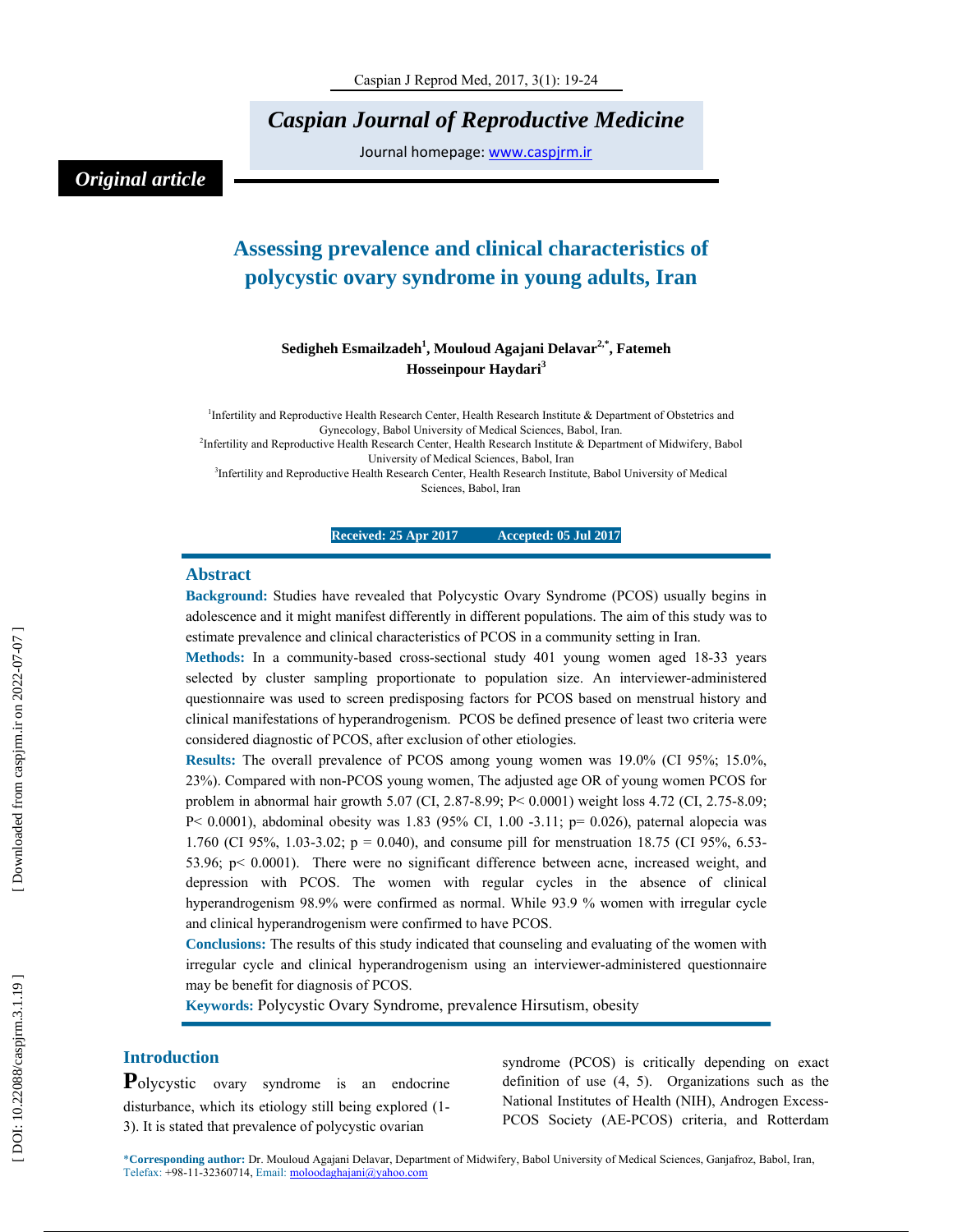*Caspian Journal of Reproductive Medicine* 

Journal homepage: www.caspjrm.ir

# *Original article*

# **Assessing prevalence and clinical characteristics of polycystic ovary syndrome in young adults, Iran**

# **Sedigheh Esmailzadeh 1 , Mouloud Agajani Delavar2,\*, Fatemeh Hosseinpour Haydari 3**

<sup>1</sup>Infertility and Reproductive Health Research Center, Health Research Institute & Department of Obstetrics and Gynecology, Babol University of Medical Sciences, Babol, Iran. 2 Infertility and Reproductive Health Research Center, Health Research Institute & Department of Midwifery, Babol University of Medical Sciences, Babol, Iran <sup>3</sup>Infertility and Reproductive Health Research Center, Health Research Institute, Babol University of Medical

Sciences, Babol, Iran

## **Received: 25 Apr 2017 Accepted: 05 Jul 2017**

### **Abstract**

**Background:** Studies have revealed that Polycystic Ovary Syndrome (PCOS) usually begins in adolescence and it might manifest differently in different populations. The aim of this study was to estimate prevalence and clinical characteristics of PCOS in a community setting in Iran.

**Methods:** In a community-based cross-sectional study 401 young women aged 18-33 years selected by cluster sampling proportionate to population size. An interviewer-administered questionnaire was used to screen predisposing factors for PCOS based on menstrual history and clinical manifestations of hyperandrogenism. PCOS be defined presence of least two criteria were considered diagnostic of PCOS, after exclusion of other etiologies.

**Results:** The overall prevalence of PCOS among young women was 19.0% (CI 95%; 15.0%, 23%). Compared with non-PCOS young women, The adjusted age OR of young women PCOS for problem in abnormal hair growth 5.07 (CI, 2.87-8.99; P< 0.0001) weight loss 4.72 (CI, 2.75-8.09; P < 0.0001), abdominal obesity was 1.83 (95% CI, 1.00 -3.11; p= 0.026), paternal alopecia was 1.760 (CI 95%, 1.03-3.02; p = 0.040), and consume pill for menstruation 18.75 (CI 95%, 6.53- 53.96; p< 0.0001). There were no significant difference between acne, increased weight, and depression with PCOS. The women with regular cycles in the absence of clinical hyperandrogenism 98.9% were confirmed as normal. While 93.9 % women with irregular cycle and clinical hyperandrogenism were confirmed to have PCOS.

**Conclusions:** The results of this study indicated that counseling and evaluating of the women with irregular cycle and clinical hyperandrogenism using an interviewer-administered questionnaire may be benefit for diagnosis of PCOS.

**Keywords:** Polycystic Ovary Syndrome, prevalence Hirsutism, obesity

**Introduction**<br>**Polycystic** ovary syndrome is an endocrine disturbance, which its etiology still being explored (1- 3). It is stated that prevalence of polycystic ovarian

syndrome (PCOS) is critically depending on exact definition of use (4, 5). Organizations such as the National Institutes of Health (NIH), Androgen Excess-PCOS Society (AE-PCOS) criteria, and Rotterdam

\***Corresponding author:** Dr. Mouloud Agajani Delavar, Department of Midwifery, Babol University of Medical Sciences, Ganjafroz, Babol, Iran, Telefax: +98-11-32360714, Email: moloodaghajani@yahoo.com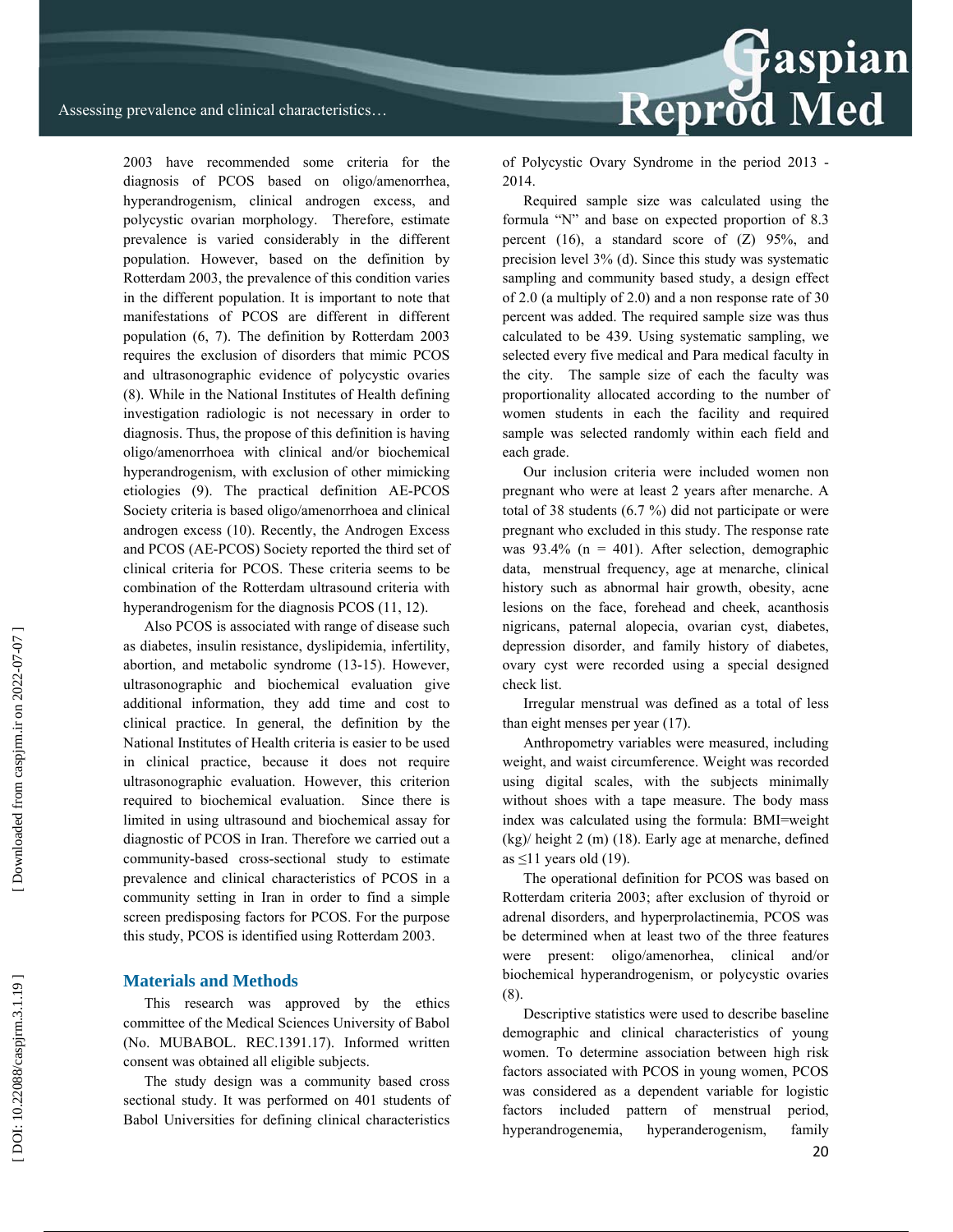Reprod Med

2003 have recommended some criteria for the diagnosis of PCOS based on oligo/amenorrhea, hyperandrogenism, clinical androgen excess, and polycystic ovarian morphology. Therefore, estimate prevalence is varied considerably in the different population. However, based on the definition by Rotterdam 2003, the prevalence of this condition varies in the different population. It is important to note that manifestations of PCOS are different in different population (6, 7). The definition by Rotterdam 2003 requires the exclusion of disorders that mimic PCOS and ultrasonographic evidence of polycystic ovaries (8). While in the National Institutes of Health defining investigation radiologic is not necessary in order to diagnosis. Thus, the propose of this definition is having oligo/amenorrhoea with clinical and/or biochemical hyperandrogenism, with exclusion of other mimicking etiologies (9). The practical definition AE-PCOS Society criteria is based oligo/amenorrhoea and clinical androgen excess (10). Recently, the Androgen Excess and PCOS (AE-PCOS) Society reported the third set of clinical criteria for PCOS. These criteria seems to be combination of the Rotterdam ultrasound criteria with hyperandrogenism for the diagnosis PCOS (11, 12).

Also PCOS is associated with range of disease such as diabetes, insulin resistance, dyslipidemia, infertility, abortion, and metabolic syndrome (13-15). However, ultrasonographic and biochemical evaluation give additional information, they add time and cost to clinical practice. In general, the definition by the National Institutes of Health criteria is easier to be used in clinical practice, because it does not require ultrasonographic evaluation. However, this criterion required to biochemical evaluation. Since there is limited in using ultrasound and biochemical assay for diagnostic of PCOS in Iran. Therefore we carried out a community-based cross-sectional study to estimate prevalence and clinical characteristics of PCOS in a community setting in Iran in order to find a simple screen predisposing factors for PCOS. For the purpose this study, PCOS is identified using Rotterdam 2003.

#### **Materials and Methods**

This research was approved by the ethics committee of the Medical Sciences University of Babol (No. MUBABOL. REC.1391.17). Informed written consent was obtained all eligible subjects.

The study design was a community based cross sectional study. It was performed on 401 students of Babol Universities for defining clinical characteristics

of Polycystic Ovary Syndrome in the period 2013 - 2014.

Required sample size was calculated using the formula "N" and base on expected proportion of 8.3 percent (16), a standard score of (Z) 95%, and precision level 3% (d). Since this study was systematic sampling and community based study, a design effect of 2.0 (a multiply of 2.0) and a non response rate of 30 percent was added. The required sample size was thus calculated to be 439. Using systematic sampling, we selected every five medical and Para medical faculty in the city. The sample size of each the faculty was proportionality allocated according to the number of women students in each the facility and required sample was selected randomly within each field and each grade.

Our inclusion criteria were included women non pregnant who were at least 2 years after menarche. A total of 38 students (6.7 %) did not participate or were pregnant who excluded in this study. The response rate was  $93.4\%$  (n = 401). After selection, demographic data, menstrual frequency, age at menarche, clinical history such as abnormal hair growth, obesity, acne lesions on the face, forehead and cheek, acanthosis nigricans, paternal alopecia, ovarian cyst, diabetes, depression disorder, and family history of diabetes, ovary cyst were recorded using a special designed check list.

Irregular menstrual was defined as a total of less than eight menses per year (17).

Anthropometry variables were measured, including weight, and waist circumference. Weight was recorded using digital scales, with the subjects minimally without shoes with a tape measure. The body mass index was calculated using the formula: BMI=weight (kg)/ height 2 (m) (18). Early age at menarche, defined as  $\leq$ 11 years old (19).

The operational definition for PCOS was based on Rotterdam criteria 2003; after exclusion of thyroid or adrenal disorders, and hyperprolactinemia, PCOS was be determined when at least two of the three features were present: oligo/amenorhea, clinical and/or biochemical hyperandrogenism, or polycystic ovaries (8).

Descriptive statistics were used to describe baseline demographic and clinical characteristics of young women. To determine association between high risk factors associated with PCOS in young women, PCOS was considered as a dependent variable for logistic factors included pattern of menstrual period, hyperandrogenemia, hyperanderogenism, family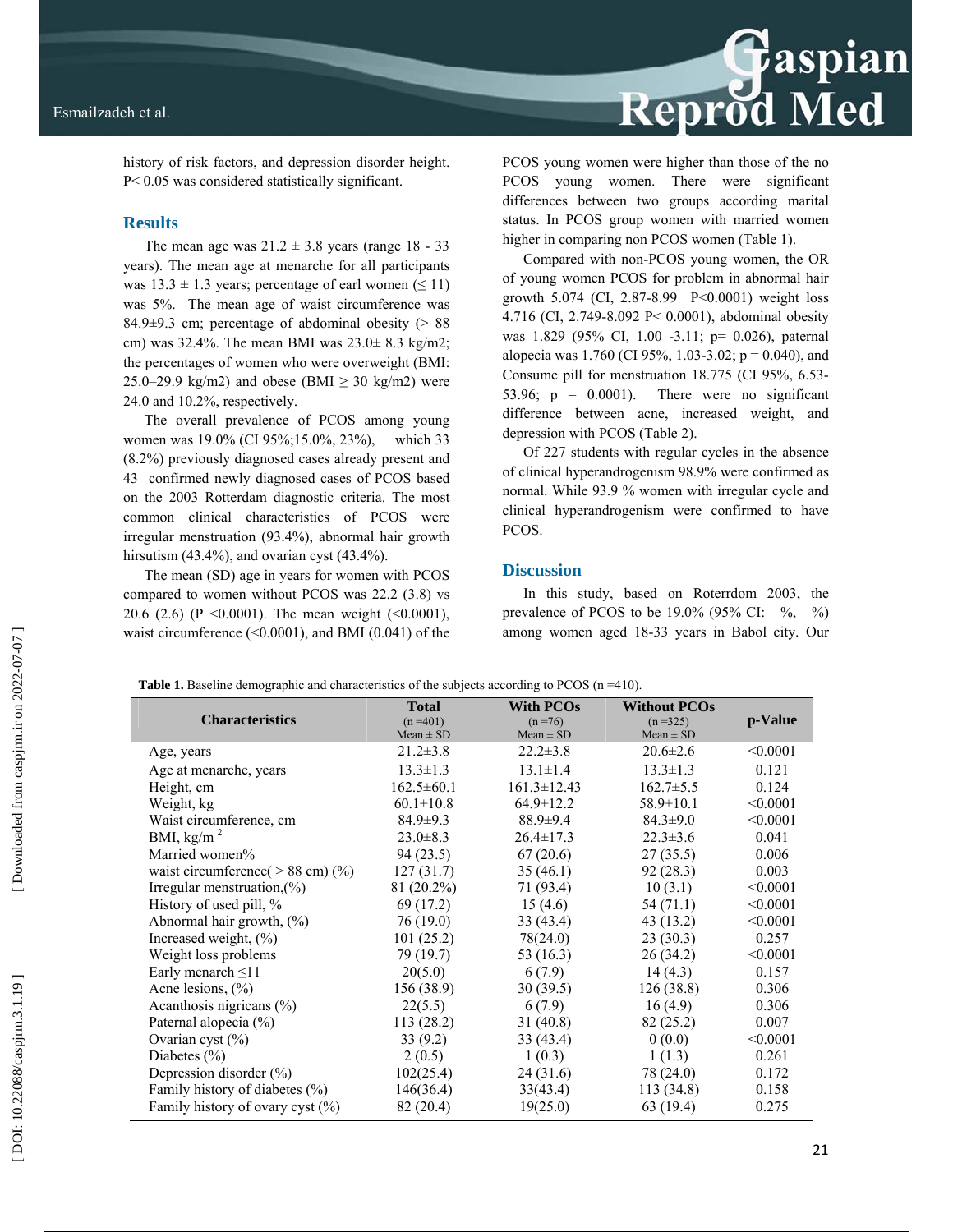

history of risk factors, and depression disorder height. P< 0.05 was considered statistically significant.

## **Results**

The mean age was  $21.2 \pm 3.8$  years (range 18 - 33) years). The mean age at menarche for all participants was  $13.3 \pm 1.3$  years; percentage of earl women ( $\leq 11$ ) was 5%. The mean age of waist circumference was 84.9 $\pm$ 9.3 cm; percentage of abdominal obesity ( $> 88$ cm) was 32.4%. The mean BMI was 23.0± 8.3 kg/m2; the percentages of women who were overweight (BMI: 25.0–29.9 kg/m2) and obese (BMI  $\geq$  30 kg/m2) were 24.0 and 10.2%, respectively.

The overall prevalence of PCOS among young women was 19.0% (CI 95%;15.0%, 23%), which 33 (8.2%) previously diagnosed cases already present and 43 confirmed newly diagnosed cases of PCOS based on the 2003 Rotterdam diagnostic criteria. The most common clinical characteristics of PCOS were irregular menstruation (93.4%), abnormal hair growth hirsutism (43.4%), and ovarian cyst (43.4%).

The mean (SD) age in years for women with PCOS compared to women without PCOS was 22.2 (3.8) vs 20.6 (2.6) (P < 0.0001). The mean weight ( $\leq 0.0001$ ), waist circumference (<0.0001), and BMI (0.041) of the PCOS young women were higher than those of the no PCOS young women. There were significant differences between two groups according marital status. In PCOS group women with married women higher in comparing non PCOS women (Table 1).

Compared with non-PCOS young women, the OR of young women PCOS for problem in abnormal hair growth 5.074 (CI, 2.87-8.99 P<0.0001) weight loss 4.716 (CI, 2.749-8.092 P< 0.0001), abdominal obesity was 1.829 (95% CI, 1.00 -3.11; p= 0.026), paternal alopecia was 1.760 (CI 95%, 1.03-3.02;  $p = 0.040$ ), and Consume pill for menstruation 18.775 (CI 95%, 6.53- 53.96;  $p = 0.0001$ ). There were no significant difference between acne, increased weight, and depression with PCOS (Table 2).

Of 227 students with regular cycles in the absence of clinical hyperandrogenism 98.9% were confirmed as normal. While 93.9 % women with irregular cycle and clinical hyperandrogenism were confirmed to have PCOS.

#### **Discussion**

In this study, based on Roterrdom 2003, the prevalence of PCOS to be  $19.0\%$  (95% CI:  $\%$ ,  $\%$ ) among women aged 18-33 years in Babol city. Our

**Table 1.** Baseline demographic and characteristics of the subjects according to PCOS (n =410).

| <b>Characteristics</b>              | <b>Total</b><br>$(n=401)$ | <b>With PCOs</b><br>$(n = 76)$ | <b>Without PCOs</b><br>$(n=325)$ | p-Value  |
|-------------------------------------|---------------------------|--------------------------------|----------------------------------|----------|
|                                     | $Mean \pm SD$             | $Mean \pm SD$                  | $Mean \pm SD$                    |          |
| Age, years                          | $21.2 \pm 3.8$            | $22.2 \pm 3.8$                 | $20.6 \pm 2.6$                   | < 0.0001 |
| Age at menarche, years              | $13.3 \pm 1.3$            | $13.1 \pm 1.4$                 | $13.3 \pm 1.3$                   | 0.121    |
| Height, cm                          | $162.5 \pm 60.1$          | $161.3 \pm 12.43$              | $162.7 \pm 5.5$                  | 0.124    |
| Weight, kg                          | $60.1 \pm 10.8$           | $64.9 \pm 12.2$                | $58.9 \pm 10.1$                  | < 0.0001 |
| Waist circumference, cm             | $84.9 \pm 9.3$            | $88.9 \pm 9.4$                 | $84.3 \pm 9.0$                   | < 0.0001 |
| BMI, kg/m <sup><math>2</math></sup> | $23.0 \pm 8.3$            | $26.4 \pm 17.3$                | $22.3 \pm 3.6$                   | 0.041    |
| Married women%                      | 94(23.5)                  | 67(20.6)                       | 27(35.5)                         | 0.006    |
| waist circumference( $> 88$ cm) (%) | 127(31.7)                 | 35(46.1)                       | 92 (28.3)                        | 0.003    |
| Irregular menstruation, (%)         | 81 (20.2%)                | 71 (93.4)                      | 10(3.1)                          | < 0.0001 |
| History of used pill, %             | 69 (17.2)                 | 15(4.6)                        | 54 (71.1)                        | < 0.0001 |
| Abnormal hair growth, $(\% )$       | 76(19.0)                  | 33 (43.4)                      | 43 (13.2)                        | < 0.0001 |
| Increased weight, $(\% )$           | 101(25.2)                 | 78(24.0)                       | 23(30.3)                         | 0.257    |
| Weight loss problems                | 79 (19.7)                 | 53 $(16.3)$                    | 26(34.2)                         | < 0.0001 |
| Early menarch $\leq$ 11             | 20(5.0)                   | 6(7.9)                         | 14(4.3)                          | 0.157    |
| Acne lesions, $(\% )$               | 156(38.9)                 | 30(39.5)                       | 126(38.8)                        | 0.306    |
| Acanthosis nigricans $(\% )$        | 22(5.5)                   | 6(7.9)                         | 16(4.9)                          | 0.306    |
| Paternal alopecia (%)               | 113(28.2)                 | 31(40.8)                       | 82 (25.2)                        | 0.007    |
| Ovarian cyst $(\%)$                 | 33(9.2)                   | 33 (43.4)                      | 0(0.0)                           | < 0.0001 |
| Diabetes $(\% )$                    | 2(0.5)                    | 1(0.3)                         | 1(1.3)                           | 0.261    |
| Depression disorder (%)             | 102(25.4)                 | 24(31.6)                       | 78 (24.0)                        | 0.172    |
| Family history of diabetes (%)      | 146(36.4)                 | 33(43.4)                       | 113(34.8)                        | 0.158    |
| Family history of ovary cyst (%)    | 82 (20.4)                 | 19(25.0)                       | 63 (19.4)                        | 0.275    |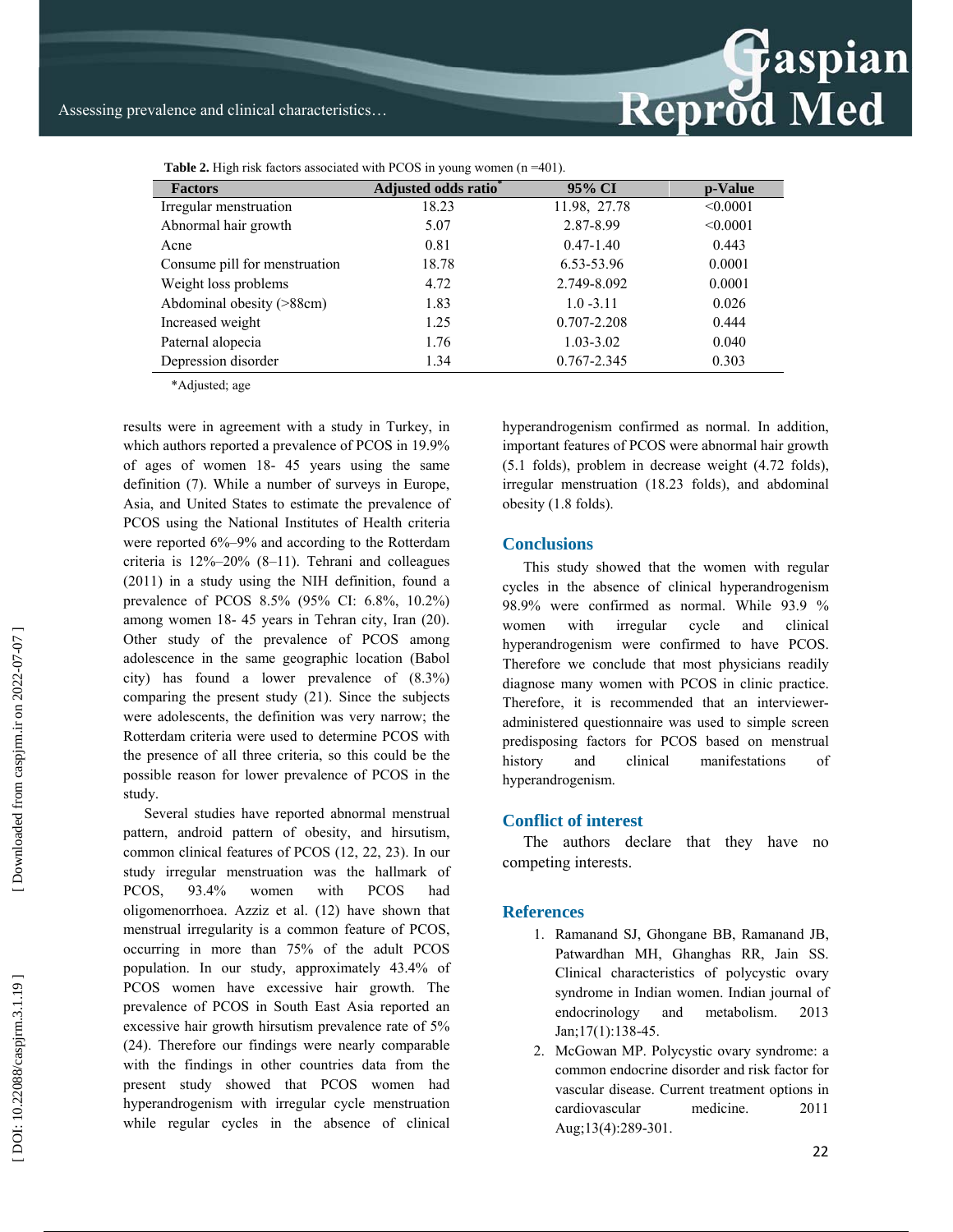

**Table 2.** High risk factors associated with PCOS in young women (n =401).

| <b>Factors</b>                | Adjusted odds ratio* | 95% CI        | p-Value  |
|-------------------------------|----------------------|---------------|----------|
| Irregular menstruation        | 18.23                | 11.98, 27.78  | < 0.0001 |
| Abnormal hair growth          | 5.07                 | 2.87-8.99     | < 0.0001 |
| Acne                          | 0.81                 | $0.47 - 1.40$ | 0.443    |
| Consume pill for menstruation | 18.78                | 6.53-53.96    | 0.0001   |
| Weight loss problems          | 4.72                 | 2.749-8.092   | 0.0001   |
| Abdominal obesity (>88cm)     | 1.83                 | $1.0 - 3.11$  | 0.026    |
| Increased weight              | 1.25                 | 0.707-2.208   | 0.444    |
| Paternal alopecia             | 1.76                 | $1.03 - 3.02$ | 0.040    |
| Depression disorder           | 1.34                 | 0.767-2.345   | 0.303    |

\*Adjusted; age

results were in agreement with a study in Turkey, in which authors reported a prevalence of PCOS in 19.9% of ages of women 18- 45 years using the same definition (7). While a number of surveys in Europe, Asia, and United States to estimate the prevalence of PCOS using the National Institutes of Health criteria were reported 6%–9% and according to the Rotterdam criteria is 12%–20% (8–11). Tehrani and colleagues (2011) in a study using the NIH definition, found a prevalence of PCOS 8.5% (95% CI: 6.8%, 10.2%) among women 18- 45 years in Tehran city, Iran (20). Other study of the prevalence of PCOS among adolescence in the same geographic location (Babol city) has found a lower prevalence of (8.3%) comparing the present study (21). Since the subjects were adolescents, the definition was very narrow; the Rotterdam criteria were used to determine PCOS with the presence of all three criteria, so this could be the possible reason for lower prevalence of PCOS in the study.

Several studies have reported abnormal menstrual pattern, android pattern of obesity, and hirsutism, common clinical features of PCOS (12, 22, 23). In our study irregular menstruation was the hallmark of PCOS, 93.4% women with PCOS had oligomenorrhoea. Azziz et al. (12) have shown that menstrual irregularity is a common feature of PCOS, occurring in more than 75% of the adult PCOS population. In our study, approximately 43.4% of PCOS women have excessive hair growth. The prevalence of PCOS in South East Asia reported an excessive hair growth hirsutism prevalence rate of 5% (24). Therefore our findings were nearly comparable with the findings in other countries data from the present study showed that PCOS women had hyperandrogenism with irregular cycle menstruation while regular cycles in the absence of clinical hyperandrogenism confirmed as normal. In addition, important features of PCOS were abnormal hair growth (5.1 folds), problem in decrease weight (4.72 folds), irregular menstruation (18.23 folds), and abdominal obesity (1.8 folds).

#### **Conclusions**

This study showed that the women with regular cycles in the absence of clinical hyperandrogenism 98.9% were confirmed as normal. While 93.9 % women with irregular cycle and clinical hyperandrogenism were confirmed to have PCOS. Therefore we conclude that most physicians readily diagnose many women with PCOS in clinic practice. Therefore, it is recommended that an intervieweradministered questionnaire was used to simple screen predisposing factors for PCOS based on menstrual history and clinical manifestations of hyperandrogenism.

#### **Conflict of interest**

The authors declare that they have no competing interests.

#### **References**

- 1. Ramanand SJ, Ghongane BB, Ramanand JB, Patwardhan MH, Ghanghas RR, Jain SS. Clinical characteristics of polycystic ovary syndrome in Indian women. Indian journal of endocrinology and metabolism. 2013 Jan;17(1):138-45.
- 2. McGowan MP. Polycystic ovary syndrome: a common endocrine disorder and risk factor for vascular disease. Current treatment options in cardiovascular medicine. 2011 Aug;13(4):289-301.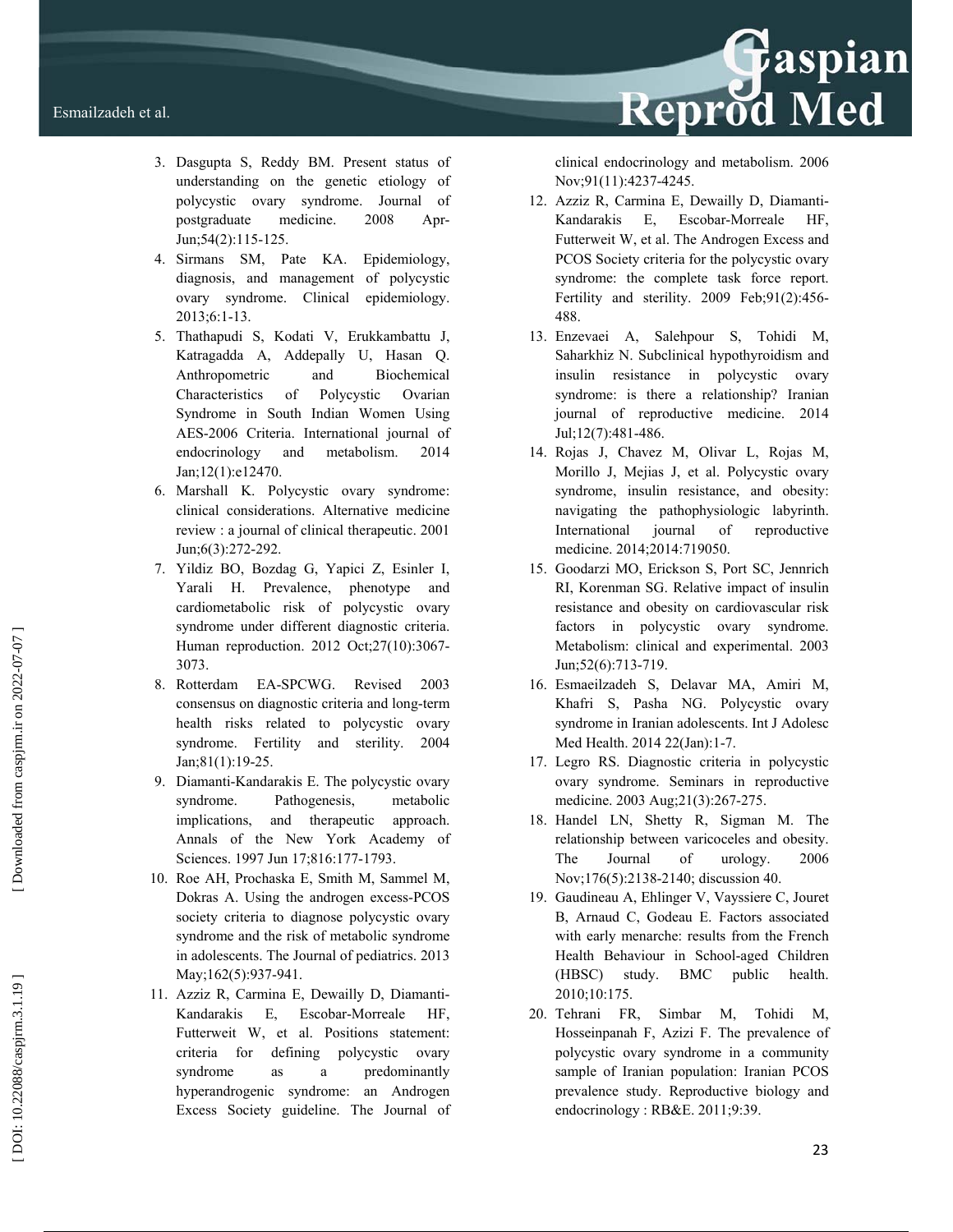

- 3. Dasgupta S, Reddy BM. Present status of understanding on the genetic etiology of polycystic ovary syndrome. Journal of postgraduate medicine. 2008 Apr-Jun;54(2):115-125.
- 4. Sirmans SM, Pate KA. Epidemiology, diagnosis, and management of polycystic ovary syndrome. Clinical epidemiology. 2013;6:1-13.
- 5. Thathapudi S, Kodati V, Erukkambattu J, Katragadda A, Addepally U, Hasan Q. Anthropometric and Biochemical Characteristics of Polycystic Ovarian Syndrome in South Indian Women Using AES-2006 Criteria. International journal of endocrinology and metabolism. 2014 Jan;12(1):e12470.
- 6. Marshall K. Polycystic ovary syndrome: clinical considerations. Alternative medicine review : a journal of clinical therapeutic. 2001 Jun;6(3):272-292.
- 7. Yildiz BO, Bozdag G, Yapici Z, Esinler I, Yarali H. Prevalence, phenotype and cardiometabolic risk of polycystic ovary syndrome under different diagnostic criteria. Human reproduction. 2012 Oct;27(10):3067- 3073.
- 8. Rotterdam EA-SPCWG. Revised 2003 consensus on diagnostic criteria and long-term health risks related to polycystic ovary syndrome. Fertility and sterility. 2004 Jan;81(1):19-25.
- 9. Diamanti-Kandarakis E. The polycystic ovary syndrome. Pathogenesis, metabolic implications, and therapeutic approach. Annals of the New York Academy of Sciences. 1997 Jun 17;816:177-1793.
- 10. Roe AH, Prochaska E, Smith M, Sammel M, Dokras A. Using the androgen excess-PCOS society criteria to diagnose polycystic ovary syndrome and the risk of metabolic syndrome in adolescents. The Journal of pediatrics. 2013 May;162(5):937-941.
- 11. Azziz R, Carmina E, Dewailly D, Diamanti-Kandarakis E, Escobar-Morreale HF, Futterweit W, et al. Positions statement: criteria for defining polycystic ovary syndrome as a predominantly hyperandrogenic syndrome: an Androgen Excess Society guideline. The Journal of

clinical endocrinology and metabolism. 2006 Nov;91(11):4237-4245.

- 12. Azziz R, Carmina E, Dewailly D, Diamanti-Kandarakis E, Escobar-Morreale HF, Futterweit W, et al. The Androgen Excess and PCOS Society criteria for the polycystic ovary syndrome: the complete task force report. Fertility and sterility. 2009 Feb;91(2):456- 488.
- 13. Enzevaei A, Salehpour S, Tohidi M, Saharkhiz N. Subclinical hypothyroidism and insulin resistance in polycystic ovary syndrome: is there a relationship? Iranian journal of reproductive medicine. 2014 Jul;12(7):481-486.
- 14. Rojas J, Chavez M, Olivar L, Rojas M, Morillo J, Mejias J, et al. Polycystic ovary syndrome, insulin resistance, and obesity: navigating the pathophysiologic labyrinth. International journal of reproductive medicine. 2014;2014:719050.
- 15. Goodarzi MO, Erickson S, Port SC, Jennrich RI, Korenman SG. Relative impact of insulin resistance and obesity on cardiovascular risk factors in polycystic ovary syndrome. Metabolism: clinical and experimental. 2003 Jun;52(6):713-719.
- 16. Esmaeilzadeh S, Delavar MA, Amiri M, Khafri S, Pasha NG. Polycystic ovary syndrome in Iranian adolescents. Int J Adolesc Med Health. 2014 22(Jan):1-7.
- 17. Legro RS. Diagnostic criteria in polycystic ovary syndrome. Seminars in reproductive medicine. 2003 Aug;21(3):267-275.
- 18. Handel LN, Shetty R, Sigman M. The relationship between varicoceles and obesity. The Journal of urology. 2006 Nov;176(5):2138-2140; discussion 40.
- 19. Gaudineau A, Ehlinger V, Vayssiere C, Jouret B, Arnaud C, Godeau E. Factors associated with early menarche: results from the French Health Behaviour in School-aged Children (HBSC) study. BMC public health. 2010;10:175.
- 20. Tehrani FR, Simbar M, Tohidi M, Hosseinpanah F, Azizi F. The prevalence of polycystic ovary syndrome in a community sample of Iranian population: Iranian PCOS prevalence study. Reproductive biology and endocrinology : RB&E. 2011;9:39.